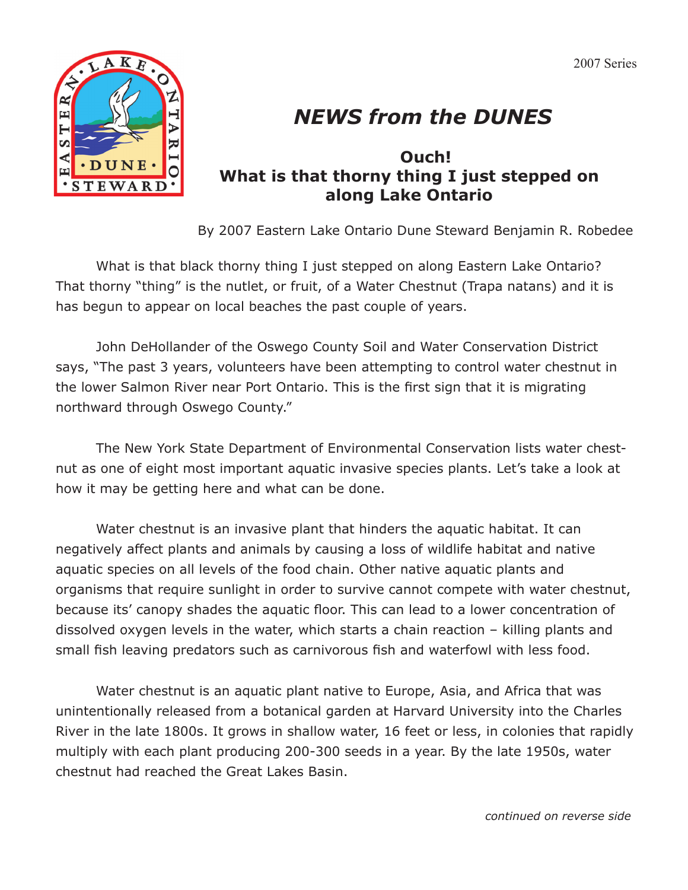2007 Series



## *NEWS from the DUNES*

## **Ouch! What is that thorny thing I just stepped on along Lake Ontario**

By 2007 Eastern Lake Ontario Dune Steward Benjamin R. Robedee

What is that black thorny thing I just stepped on along Eastern Lake Ontario? That thorny "thing" is the nutlet, or fruit, of a Water Chestnut (Trapa natans) and it is has begun to appear on local beaches the past couple of years.

 John DeHollander of the Oswego County Soil and Water Conservation District says, "The past 3 years, volunteers have been attempting to control water chestnut in the lower Salmon River near Port Ontario. This is the first sign that it is migrating northward through Oswego County."

 The New York State Department of Environmental Conservation lists water chestnut as one of eight most important aquatic invasive species plants. Let's take a look at how it may be getting here and what can be done.

 Water chestnut is an invasive plant that hinders the aquatic habitat. It can negatively affect plants and animals by causing a loss of wildlife habitat and native aquatic species on all levels of the food chain. Other native aquatic plants and organisms that require sunlight in order to survive cannot compete with water chestnut, because its' canopy shades the aquatic floor. This can lead to a lower concentration of dissolved oxygen levels in the water, which starts a chain reaction – killing plants and small fish leaving predators such as carnivorous fish and waterfowl with less food.

 Water chestnut is an aquatic plant native to Europe, Asia, and Africa that was unintentionally released from a botanical garden at Harvard University into the Charles River in the late 1800s. It grows in shallow water, 16 feet or less, in colonies that rapidly multiply with each plant producing 200-300 seeds in a year. By the late 1950s, water chestnut had reached the Great Lakes Basin.